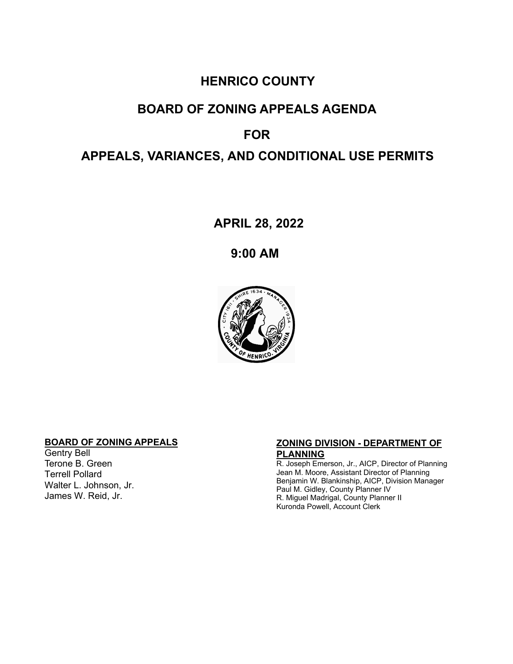## **HENRICO COUNTY**

# **BOARD OF ZONING APPEALS AGENDA**

#### **FOR**

## **APPEALS, VARIANCES, AND CONDITIONAL USE PERMITS**

**APRIL 28, 2022**

**9:00 AM**



#### **BOARD OF ZONING APPEALS**

Gentry Bell Terone B. Green Terrell Pollard Walter L. Johnson, Jr. James W. Reid, Jr.

#### **ZONING DIVISION - DEPARTMENT OF PLANNING**

R. Joseph Emerson, Jr., AICP, Director of Planning Jean M. Moore, Assistant Director of Planning Benjamin W. Blankinship, AICP, Division Manager Paul M. Gidley, County Planner IV R. Miguel Madrigal, County Planner II Kuronda Powell, Account Clerk